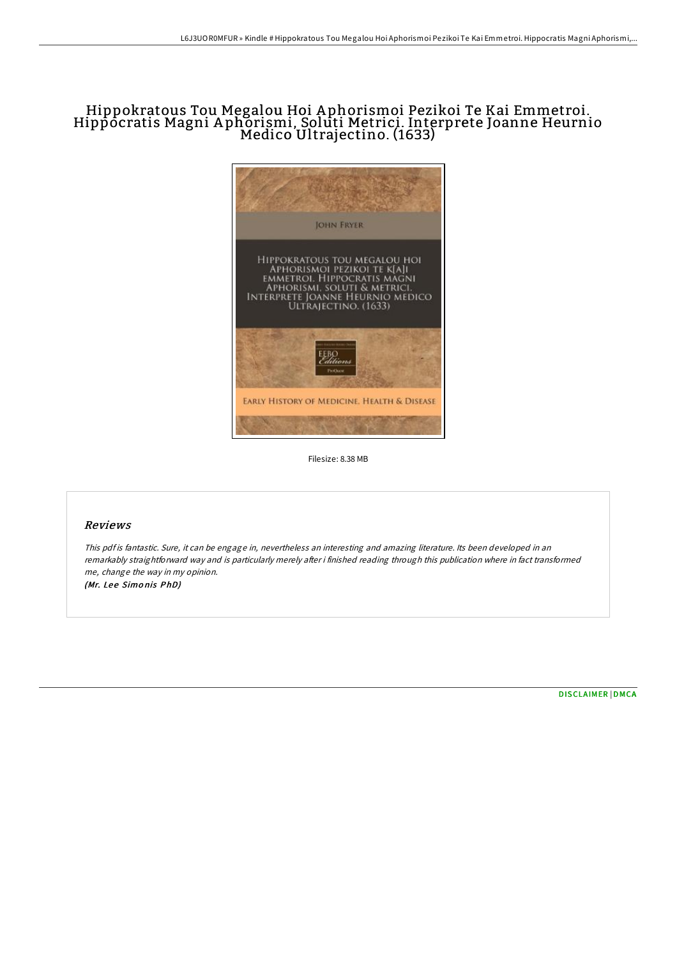# Hippokratous Tou Megalou Hoi <sup>A</sup> phorismoi Pezikoi Te Kai Emmetroi. Hippocratis Magni <sup>A</sup> phorismi, Soluti Metrici. Interprete Joanne Heurnio Medico Ultrajectino. (1633)



Filesize: 8.38 MB

## Reviews

This pdf is fantastic. Sure, it can be engage in, nevertheless an interesting and amazing literature. Its been developed in an remarkably straightforward way and is particularly merely after i finished reading through this publication where in fact transformed me, change the way in my opinion. (Mr. Lee Simonis PhD)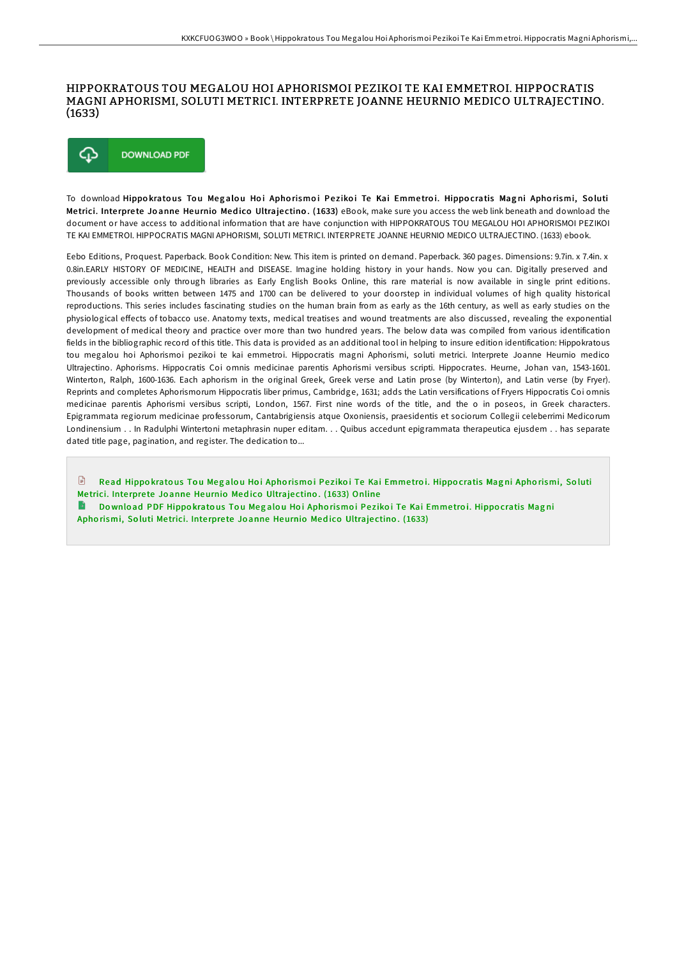#### HIPPOKRATOUS TOU MEGALOU HOI APHORISMOI PEZIKOI TE KAI EMMETROI. HIPPOCRATIS MAGNI APHORISMI, SOLUTI METRICI. INTERPRETE JOANNE HEURNIO MEDICO ULTRAJECTINO.  $(1633)$



To download Hippokratous Tou Megalou Hoi Aphorismoi Pezikoi Te Kai Emmetroi. Hippocratis Magni Aphorismi, Soluti Metrici. Interprete Joanne Heurnio Medico Ultrajectino. (1633) eBook, make sure you access the web link beneath and download the document or have access to additional information that are have conjunction with HIPPOKRATOUS TOU MEGALOU HOI APHORISMOI PEZIKOI TE KAI EMMETROI, HIPPOCRATIS MAGNI APHORISMI, SOLUTI METRICI. INTERPRETE JOANNE HEURNIO MEDICO ULTRAJECTINO. (1633) ebook.

Eebo Editions, Proquest. Paperback. Book Condition: New. This item is printed on demand. Paperback. 360 pages. Dimensions: 9.7in. x 7.4in. x 0.8in.EARLY HISTORY OF MEDICINE, HEALTH and DISEASE. Imagine holding history in your hands. Now you can. Digitally preserved and previously accessible only through libraries as Early English Books Online, this rare material is now available in single print editions. Thousands of books written between 1475 and 1700 can be delivered to your doorstep in individual volumes of high quality historical reproductions. This series includes fascinating studies on the human brain from as early as the 16th century, as well as early studies on the physiological effects of tobacco use. Anatomy texts, medical treatises and wound treatments are also discussed, revealing the exponential development of medical theory and practice over more than two hundred years. The below data was compiled from various identification fields in the bibliographic record of this title. This data is provided as an additional tool in helping to insure edition identification: Hippokratous tou megalou hoi Aphorismoi pezikoi te kai emmetroi. Hippocratis magni Aphorismi, soluti metrici. Interprete Joanne Heurnio medico Ultrajectino. Aphorisms. Hippocratis Coi omnis medicinae parentis Aphorismi versibus scripti. Hippocrates. Heurne, Johan van, 1543-1601. Winterton, Ralph, 1600-1636. Each aphorism in the original Greek, Greek verse and Latin prose (by Winterton), and Latin verse (by Fryer). Reprints and completes Aphorismorum Hippocratis liber primus, Cambridge, 1631; adds the Latin versifications of Fryers Hippocratis Coi omnis medicinae parentis Aphorismi versibus scripti, London, 1567. First nine words of the title, and the o in poseos, in Greek characters. Epigrammata regiorum medicinae professorum, Cantabrigiensis atque Oxoniensis, praesidentis et sociorum Collegii celeberrimi Medicorum Londinensium . . In Radulphi Wintertoni metaphrasin nuper editam. . . Quibus accedunt epigrammata therapeutica ejusdem . . has separate dated title page, pagination, and register. The dedication to...

 $\mathbb{R}$ Read Hippokratous Tou Megalou Hoi Aphorismoi Pezikoi Te Kai Emmetroi. Hippocratis Magni Aphorismi, Soluti Metrici. Interprete Joanne Heurnio Medico Ultrajectino. (1633) Online

Download PDF Hippokratous Tou Megalou Hoi Aphorismoi Pezikoi Te Kai Emmetroi. Hippocratis Magni Aphorismi, Soluti Metrici. Interprete Joanne Heurnio Medico Ultrajectino. (1633)